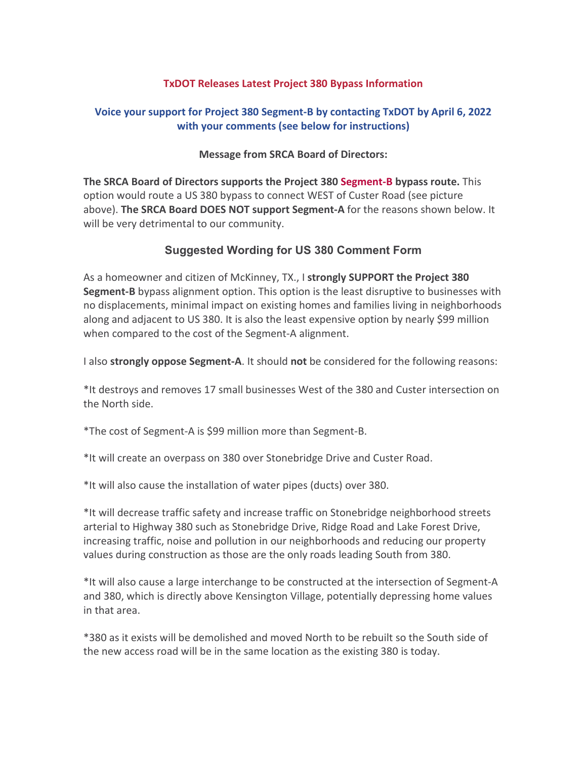## **TxDOT Releases Latest Project 380 Bypass Information**

## **Voice your support for Project 380 Segment-B by contacting TxDOT by April 6, 2022 with your comments (see below for instructions)**

## **Message from SRCA Board of Directors:**

**The SRCA Board of Directors supports the Project 380 Segment-B bypass route.** This option would route a US 380 bypass to connect WEST of Custer Road (see picture above). **The SRCA Board DOES NOT support Segment-A** for the reasons shown below. It will be very detrimental to our community.

## **Suggested Wording for US 380 Comment Form**

As a homeowner and citizen of McKinney, TX., I **strongly SUPPORT the Project 380 Segment-B** bypass alignment option. This option is the least disruptive to businesses with no displacements, minimal impact on existing homes and families living in neighborhoods along and adjacent to US 380. It is also the least expensive option by nearly \$99 million when compared to the cost of the Segment-A alignment.

I also **strongly oppose Segment-A**. It should **not** be considered for the following reasons:

\*It destroys and removes 17 small businesses West of the 380 and Custer intersection on the North side.

\*The cost of Segment-A is \$99 million more than Segment-B.

\*It will create an overpass on 380 over Stonebridge Drive and Custer Road.

\*It will also cause the installation of water pipes (ducts) over 380.

\*It will decrease traffic safety and increase traffic on Stonebridge neighborhood streets arterial to Highway 380 such as Stonebridge Drive, Ridge Road and Lake Forest Drive, increasing traffic, noise and pollution in our neighborhoods and reducing our property values during construction as those are the only roads leading South from 380.

\*It will also cause a large interchange to be constructed at the intersection of Segment-A and 380, which is directly above Kensington Village, potentially depressing home values in that area.

\*380 as it exists will be demolished and moved North to be rebuilt so the South side of the new access road will be in the same location as the existing 380 is today.